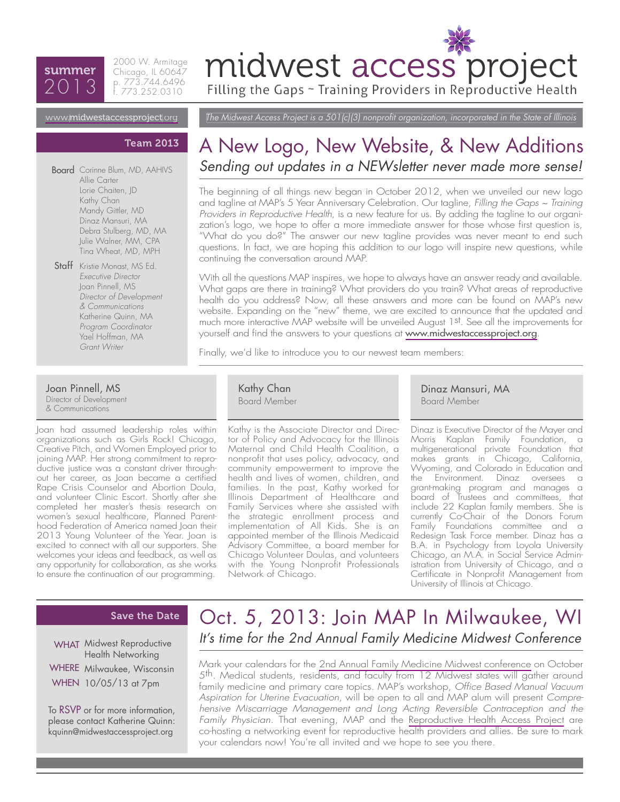## summer 2013

2000 W. Armitage Chicago, IL 60647 p. 773.744.6496 f. 773.252.0310

# midwest access project

Filling the Gaps ~ Training Providers in Reproductive Health

*The Midwest Access Project is a 501(c)(3) nonprofit organization, incorporated in the State of Illinois*

### www.[midwestaccessproject](http://midwestaccessproject.org/).org

#### Team 2013

Allie Carter Lorie Chaiten, JD Kathy Chan Mandy Gittler, MD Dinaz Mansuri, MA Debra Stulberg, MD, MA Julie Walner, MM, CPA Tina Wheat, MD, MPH **Board** Corinne Blum, MD, AAHIVS

Staff Kristie Monast, MS Ed. *Executive Director* Joan Pinnell, MS *Director of Development & Communications* Katherine Quinn, MA *Program Coordinator* Yael Hoffman, MA *Grant Writer*

Joan Pinnell, MS Director of Development & Communications

Joan had assumed leadership roles within organizations such as Girls Rock! Chicago, Creative Pitch, and Women Employed prior to joining MAP. Her strong commitment to reproductive justice was a constant driver throughout her career, as Joan became a certified Rape Crisis Counselor and Abortion Doula, and volunteer Clinic Escort. Shortly after she completed her master's thesis research on women's sexual healthcare, Planned Parenthood Federation of America named Joan their 2013 Young Volunteer of the Year. Joan is excited to connect with all our supporters. She welcomes your ideas and feedback, as well as any opportunity for collaboration, as she works to ensure the continuation of our programming.

## A New Logo, [New Website](http://midwestaccessproject.org/), & New Additions Sending out updates in a NEWsletter never made more sense!

The beginning of all things new began in October 2012, when we unveiled our new logo and tagline at MAP's 5 Year Anniversary Celebration. Our tagline, *Filling the Gaps ~ Training Providers in Reproductive Health*, is a new feature for us. By adding the tagline to our organization's logo, we hope to offer a more immediate answer for those whose first question is, "What do you do?" The answer our new tagline provides was never meant to end such questions. In fact, we are hoping this addition to our logo will inspire new questions, while continuing the conversation around MAP.

With all the questions MAP inspires, we hope to always have an answer ready and available. What gaps are there in training? What providers do you train? What areas of reproductive health do you address? Now, all these answers and more can be found on MAP's new website. Expanding on the "new" theme, we are excited to announce that the updated and much more interactive MAP website will be unveiled August 1st. See all the improvements for yourself and find the answers to your questions at [www.midwestaccessproject.org](http://midwestaccessproject.org/).

Finally, we'd like to introduce you to our newest team members:

Kathy Chan Board Member

Kathy is the Associate Director and Director of Policy and Advocacy for the Illinois Maternal and Child Health Coalition, a nonprofit that uses policy, advocacy, and community empowerment to improve the health and lives of women, children, and families. In the past, Kathy worked for Illinois Department of Healthcare and Family Services where she assisted with the strategic enrollment process and implementation of All Kids. She is an appointed member of the Illinois Medicaid Advisory Committee, a board member for Chicago Volunteer Doulas, and volunteers with the Young Nonprofit Professionals Network of Chicago.

Dinaz Mansuri, MA Board Member

Dinaz is Executive Director of the Mayer and Morris Kaplan Family Foundation, a multigenerational private Foundation that makes grants in Chicago, California, Wyoming, and Colorado in Education and the Environment. Dinaz oversees a grant-making program and manages a board of Trustees and committees, that include 22 Kaplan family members. She is currently Co-Chair of the Donors Forum Family Foundations committee and a Redesign Task Force member. Dinaz has a B.A. in Psychology from Loyola University Chicago, an M.A. in Social Service Administration from University of Chicago, and a Certificate in Nonprofit Management from University of Illinois at Chicago.

#### Save the Date

WHAT Midwest Reproductive Health Networking

WHERE Milwaukee, Wisconsin WHEN 10/05/13 at 7pm

To RSVP or for more information, please contact Katherine Quinn: kquinn@midwestaccessproject.org

## Oct. 5, 2013: Join MAP In Milwaukee, WI *It's time for the 2nd Annual Family Medicine Midwest Conference*

Mark your calendars for the [2nd Annual Family Medicine Midwest conference](http://www.iafp.com/fmm/) on October 5th. Medical students, residents, and faculty from 12 Midwest states will gather around family medicine and primary care topics. MAP's workshop, *Office Based Manual Vacuum Aspiration for Uterine Evacuation*, will be open to all and MAP alum will present *Comprehensive Miscarriage Management and Long Acting Reversible Contraception and the Family Physician.* That evening, MAP and the [Reproductive Health Access Project](http://www.reproductiveaccess.org/) are co-hosting a networking event for reproductive health providers and allies. Be sure to mark your calendars now! You're all invited and we hope to see you there.